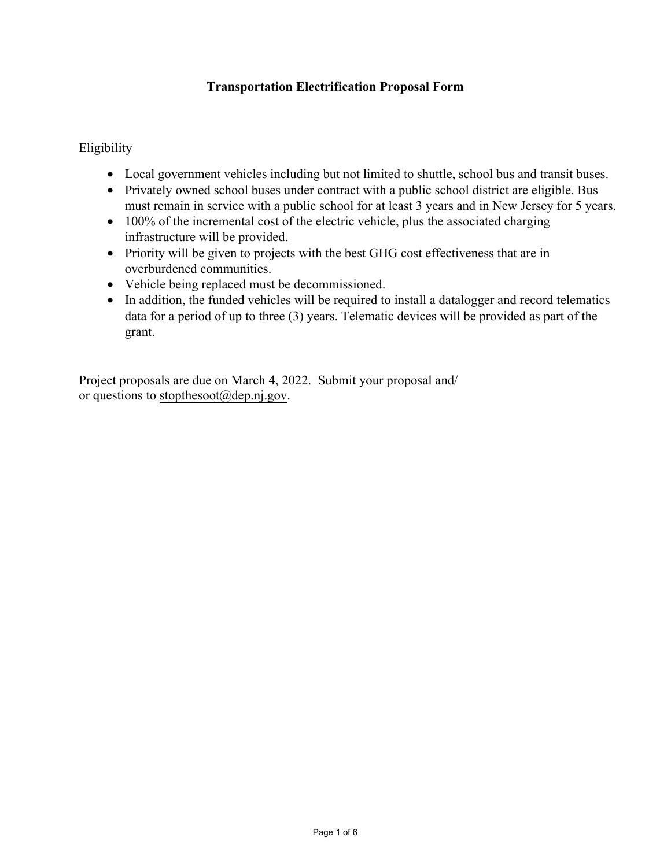## **Transportation Electrification Proposal Form**

Eligibility

- Local government vehicles including but not limited to shuttle, school bus and transit buses.
- Privately owned school buses under contract with a public school district are eligible. Bus must remain in service with a public school for at least 3 years and in New Jersey for 5 years.
- 100% of the incremental cost of the electric vehicle, plus the associated charging infrastructure will be provided.
- Priority will be given to projects with the best GHG cost effectiveness that are in overburdened communities.
- Vehicle being replaced must be decommissioned.
- In addition, the funded vehicles will be required to install a datalogger and record telematics data for a period of up to three (3) years. Telematic devices will be provided as part of the grant.

Project proposals are due on March 4, 2022. Submit your proposal and/ or questions to stopthesoot $(\omega$ dep.nj.gov.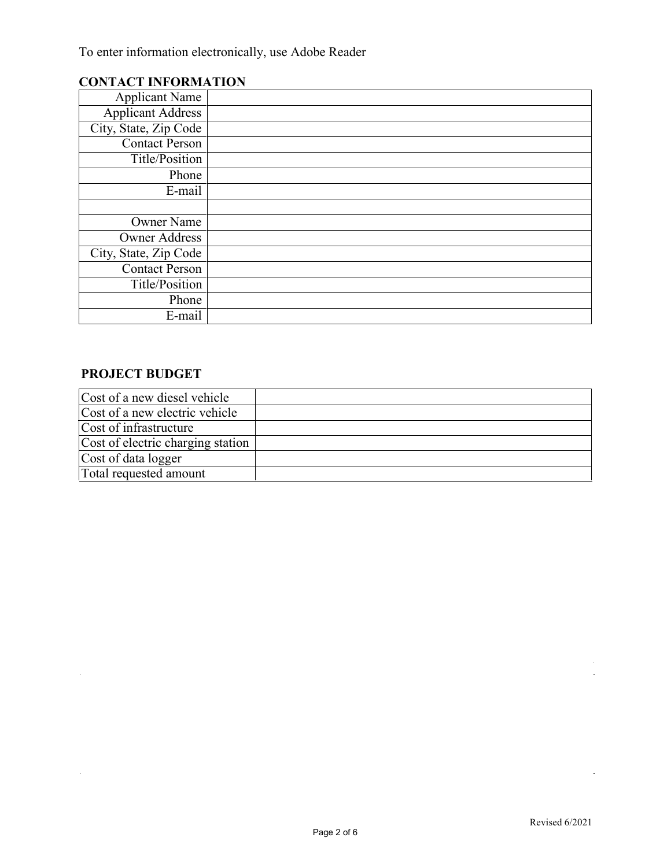To enter information electronically, use Adobe Reader

## **CONTACT INFORMATION**

| <b>Applicant Name</b>    |  |
|--------------------------|--|
| <b>Applicant Address</b> |  |
| City, State, Zip Code    |  |
| <b>Contact Person</b>    |  |
| Title/Position           |  |
| Phone                    |  |
| E-mail                   |  |
|                          |  |
| <b>Owner Name</b>        |  |
| <b>Owner Address</b>     |  |
| City, State, Zip Code    |  |
| <b>Contact Person</b>    |  |
| Title/Position           |  |
| Phone                    |  |
| E-mail                   |  |

## **PROJECT BUDGET**

 $\hat{\mathcal{A}}$ 

 $\mathcal{L}_{\mathcal{A}}$ 

| Cost of a new diesel vehicle      |  |
|-----------------------------------|--|
| Cost of a new electric vehicle    |  |
| Cost of infrastructure            |  |
| Cost of electric charging station |  |
| Cost of data logger               |  |
| Total requested amount            |  |

 $\mathcal{A}$ 

 $\hat{\mathcal{A}}$ 

 $\hat{\boldsymbol{\theta}}$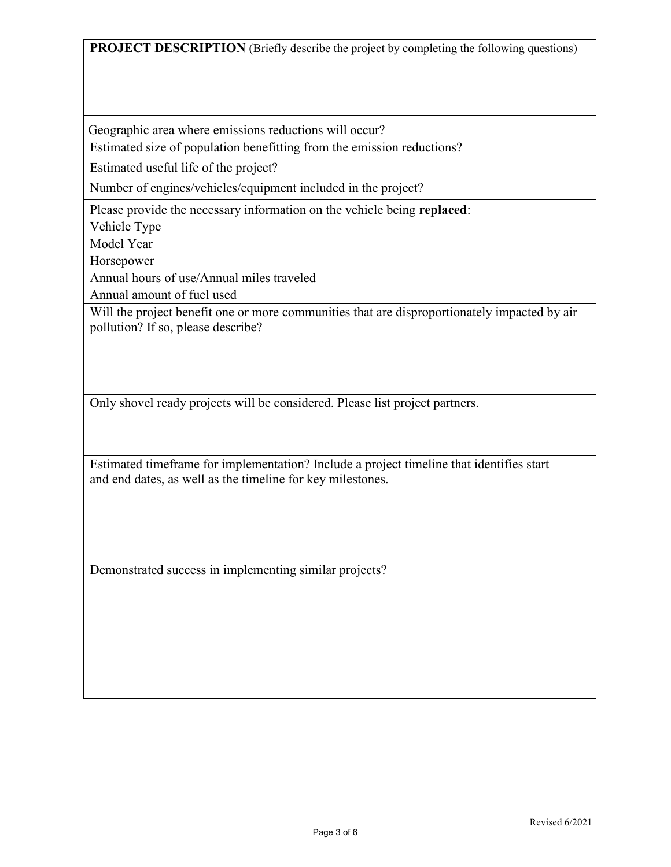**PROJECT DESCRIPTION** (Briefly describe the project by completing the following questions)

Geographic area where emissions reductions will occur?

Estimated size of population benefitting from the emission reductions?

Estimated useful life of the project?

Number of engines/vehicles/equipment included in the project?

Please provide the necessary information on the vehicle being **replaced**:

Vehicle Type

Model Year

Horsepower

Annual hours of use/Annual miles traveled

Annual amount of fuel used

Will the project benefit one or more communities that are disproportionately impacted by air pollution? If so, please describe?

Only shovel ready projects will be considered. Please list project partners.

Estimated timeframe for implementation? Include a project timeline that identifies start and end dates, as well as the timeline for key milestones.

Demonstrated success in implementing similar projects?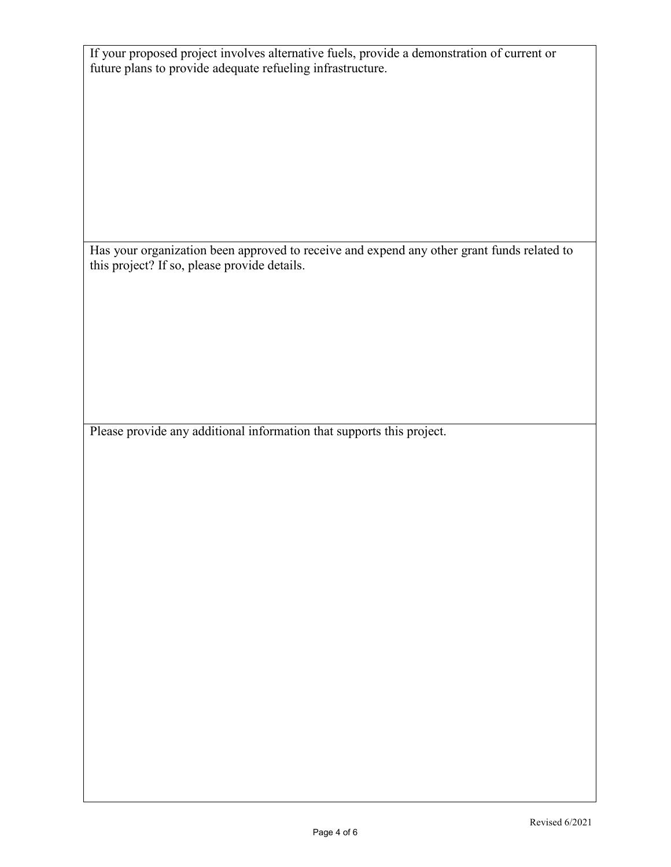If your proposed project involves alternative fuels, provide a demonstration of current or future plans to provide adequate refueling infrastructure.

Has your organization been approved to receive and expend any other grant funds related to this project? If so, please provide details.

Please provide any additional information that supports this project.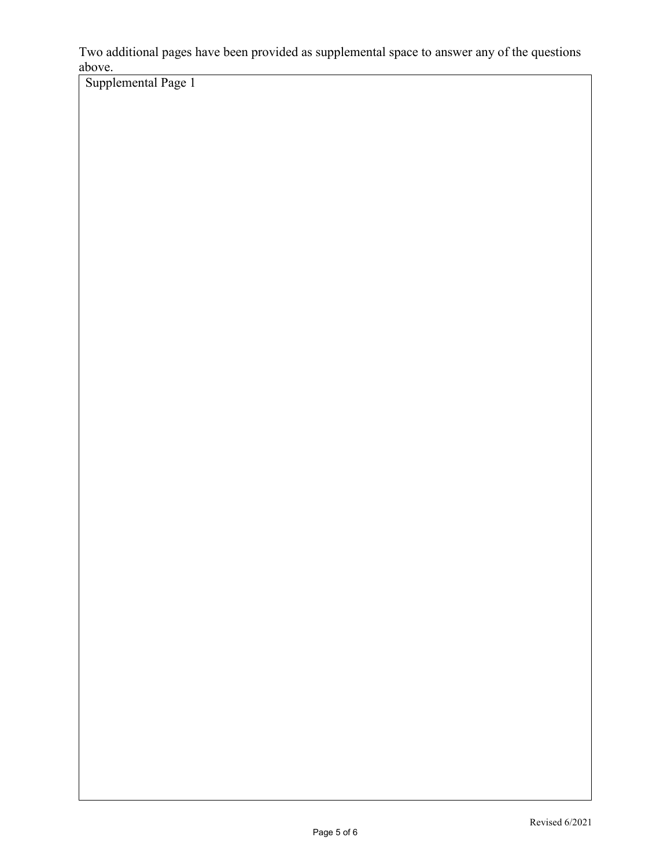Two additional pages have been provided as supplemental space to answer any of the questions above.

Supplemental Page 1